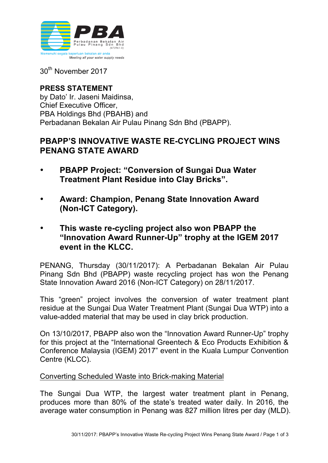

30th November 2017

## **PRESS STATEMENT** by Dato' Ir. Jaseni Maidinsa, Chief Executive Officer, PBA Holdings Bhd (PBAHB) and Perbadanan Bekalan Air Pulau Pinang Sdn Bhd (PBAPP).

# **PBAPP'S INNOVATIVE WASTE RE-CYCLING PROJECT WINS PENANG STATE AWARD**

- **PBAPP Project: "Conversion of Sungai Dua Water Treatment Plant Residue into Clay Bricks".**
- **Award: Champion, Penang State Innovation Award (Non-ICT Category).**
- **This waste re-cycling project also won PBAPP the "Innovation Award Runner-Up" trophy at the IGEM 2017 event in the KLCC.**

PENANG, Thursday (30/11/2017): A Perbadanan Bekalan Air Pulau Pinang Sdn Bhd (PBAPP) waste recycling project has won the Penang State Innovation Award 2016 (Non-ICT Category) on 28/11/2017.

This "green" project involves the conversion of water treatment plant residue at the Sungai Dua Water Treatment Plant (Sungai Dua WTP) into a value-added material that may be used in clay brick production.

On 13/10/2017, PBAPP also won the "Innovation Award Runner-Up" trophy for this project at the "International Greentech & Eco Products Exhibition & Conference Malaysia (IGEM) 2017" event in the Kuala Lumpur Convention Centre (KLCC).

## Converting Scheduled Waste into Brick-making Material

The Sungai Dua WTP, the largest water treatment plant in Penang, produces more than 80% of the state's treated water daily. In 2016, the average water consumption in Penang was 827 million litres per day (MLD).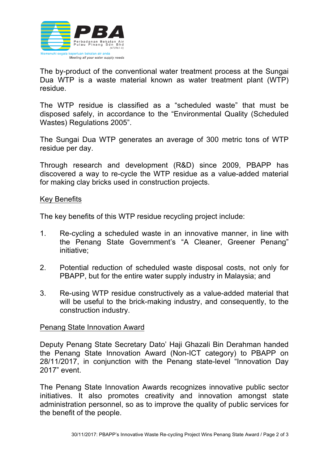

The by-product of the conventional water treatment process at the Sungai Dua WTP is a waste material known as water treatment plant (WTP) residue.

The WTP residue is classified as a "scheduled waste" that must be disposed safely, in accordance to the "Environmental Quality (Scheduled Wastes) Regulations 2005".

The Sungai Dua WTP generates an average of 300 metric tons of WTP residue per day.

Through research and development (R&D) since 2009, PBAPP has discovered a way to re-cycle the WTP residue as a value-added material for making clay bricks used in construction projects.

#### Key Benefits

The key benefits of this WTP residue recycling project include:

- 1. Re-cycling a scheduled waste in an innovative manner, in line with the Penang State Government's "A Cleaner, Greener Penang" initiative;
- 2. Potential reduction of scheduled waste disposal costs, not only for PBAPP, but for the entire water supply industry in Malaysia; and
- 3. Re-using WTP residue constructively as a value-added material that will be useful to the brick-making industry, and consequently, to the construction industry.

#### Penang State Innovation Award

Deputy Penang State Secretary Dato' Haji Ghazali Bin Derahman handed the Penang State Innovation Award (Non-ICT category) to PBAPP on 28/11/2017, in conjunction with the Penang state-level "Innovation Day 2017" event.

The Penang State Innovation Awards recognizes innovative public sector initiatives. It also promotes creativity and innovation amongst state administration personnel, so as to improve the quality of public services for the benefit of the people.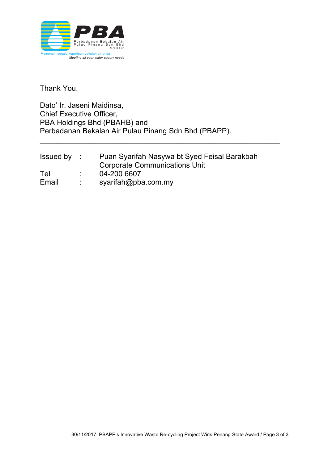

Thank You.

Dato' Ir. Jaseni Maidinsa, Chief Executive Officer, PBA Holdings Bhd (PBAHB) and Perbadanan Bekalan Air Pulau Pinang Sdn Bhd (PBAPP).

| Issued by | Puan Syarifah Nasywa bt Syed Feisal Barakbah |
|-----------|----------------------------------------------|
|           | <b>Corporate Communications Unit</b>         |
| Tel       | 04-200 6607                                  |
| Email     | syarifah@pba.com.my                          |

\_\_\_\_\_\_\_\_\_\_\_\_\_\_\_\_\_\_\_\_\_\_\_\_\_\_\_\_\_\_\_\_\_\_\_\_\_\_\_\_\_\_\_\_\_\_\_\_\_\_\_\_\_\_\_\_\_\_